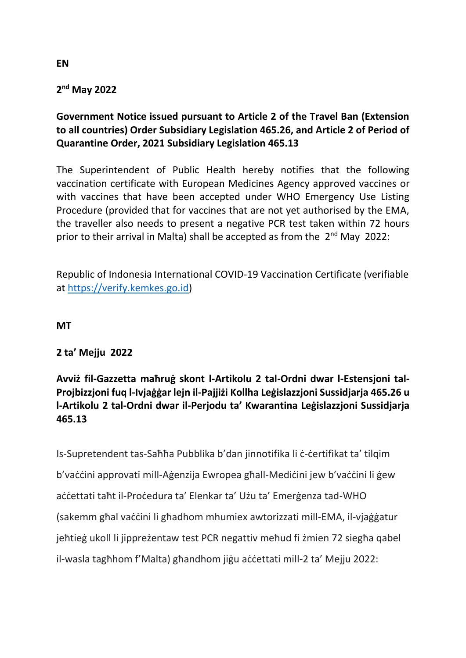## **2 nd May 2022**

# **Government Notice issued pursuant to Article 2 of the Travel Ban (Extension to all countries) Order Subsidiary Legislation 465.26, and Article 2 of Period of Quarantine Order, 2021 Subsidiary Legislation 465.13**

The Superintendent of Public Health hereby notifies that the following vaccination certificate with European Medicines Agency approved vaccines or with vaccines that have been accepted under WHO Emergency Use Listing Procedure (provided that for vaccines that are not yet authorised by the EMA, the traveller also needs to present a negative PCR test taken within 72 hours prior to their arrival in Malta) shall be accepted as from the  $2^{nd}$  May 2022:

Republic of Indonesia International COVID-19 Vaccination Certificate (verifiable at [https://verify.kemkes.go.id\)](https://verify.kemkes.go.id/)

#### **MT**

#### **2 ta' Mejju 2022**

## **Avviż fil-Gazzetta maħruġ skont l-Artikolu 2 tal-Ordni dwar l-Estensjoni tal-Projbizzjoni fuq l-Ivjaġġar lejn il-Pajjiżi Kollha Leġislazzjoni Sussidjarja 465.26 u l-Artikolu 2 tal-Ordni dwar il-Perjodu ta' Kwarantina Leġislazzjoni Sussidjarja 465.13**

Is-Supretendent tas-Saħħa Pubblika b'dan jinnotifika li ċ-ċertifikat ta' tilqim b'vaċċini approvati mill-Aġenzija Ewropea għall-Mediċini jew b'vaċċini li ġew aċċettati taħt il-Proċedura ta' Elenkar ta' Użu ta' Emerġenza tad-WHO (sakemm għal vaċċini li għadhom mhumiex awtorizzati mill-EMA, il-vjaġġatur jeħtieġ ukoll li jippreżentaw test PCR negattiv meħud fi żmien 72 siegħa qabel il-wasla tagħhom f'Malta) għandhom jiġu aċċettati mill-2 ta' Mejju 2022:

**EN**